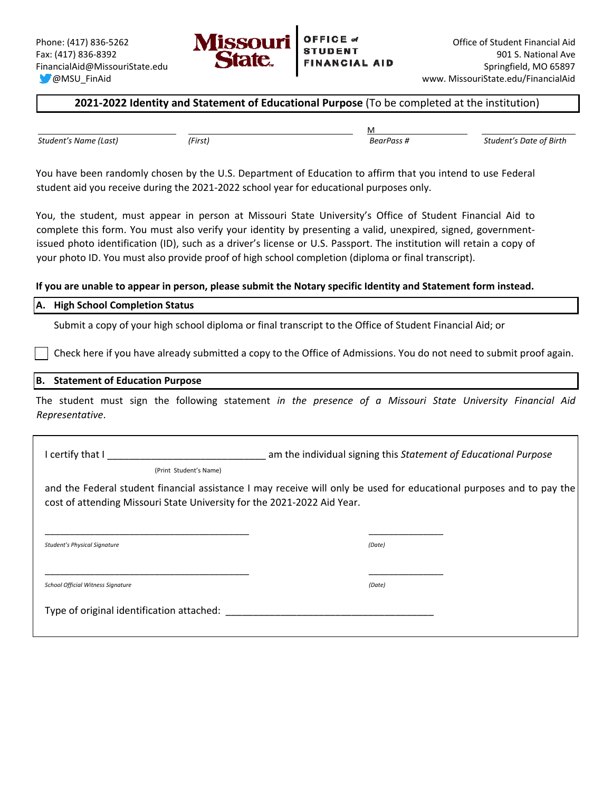

# **2021‐2022 Identity and Statement of Educational Purpose** (To be completed at the institution)

 *Student's Name (Last) (First) BearPass # Student's Date of Birth*

<u>Manuel Communication of the communication of the communication of the communication of the communication of the communication of the communication of the communication of the communication of the communication of the comm</u>

You have been randomly chosen by the U.S. Department of Education to affirm that you intend to use Federal student aid you receive during the 2021‐2022 school year for educational purposes only.

You, the student, must appear in person at Missouri State University's Office of Student Financial Aid to complete this form. You must also verify your identity by presenting a valid, unexpired, signed, government‐ issued photo identification (ID), such as a driver's license or U.S. Passport. The institution will retain a copy of your photo ID. You must also provide proof of high school completion (diploma or final transcript).

## **If you are unable to appear in person, please submit the Notary specific Identity and Statement form instead.**

# **A. High School Completion Status**

Submit a copy of your high school diploma or final transcript to the Office of Student Financial Aid; or

Check here if you have already submitted a copy to the Office of Admissions. You do not need to submit proof again.

### **B. Statement of Education Purpose**

The student must sign the following statement *in the presence of a Missouri State University Financial Aid Representative*.

I certify that I certify that I certify that I certify that I am the individual signing this *Statement of Educational Purpose* 

(Print Student's Name)

\_\_\_\_\_\_\_\_\_\_\_\_\_\_\_\_\_\_\_\_\_\_\_\_\_\_\_\_\_\_\_\_\_\_\_\_\_\_\_\_\_ \_\_\_\_\_\_\_\_\_\_\_\_\_\_\_

\_\_\_\_\_\_\_\_\_\_\_\_\_\_\_\_\_\_\_\_\_\_\_\_\_\_\_\_\_\_\_\_\_\_\_\_\_\_\_\_\_ \_\_\_\_\_\_\_\_\_\_\_\_\_\_\_

and the Federal student financial assistance I may receive will only be used for educational purposes and to pay the cost of attending Missouri State University for the 2021‐2022 Aid Year.

*Student's Physical Signature (Date)* 

**Contract** 

*School Official Witness Signature (Date)* 

Type of original identification attached: